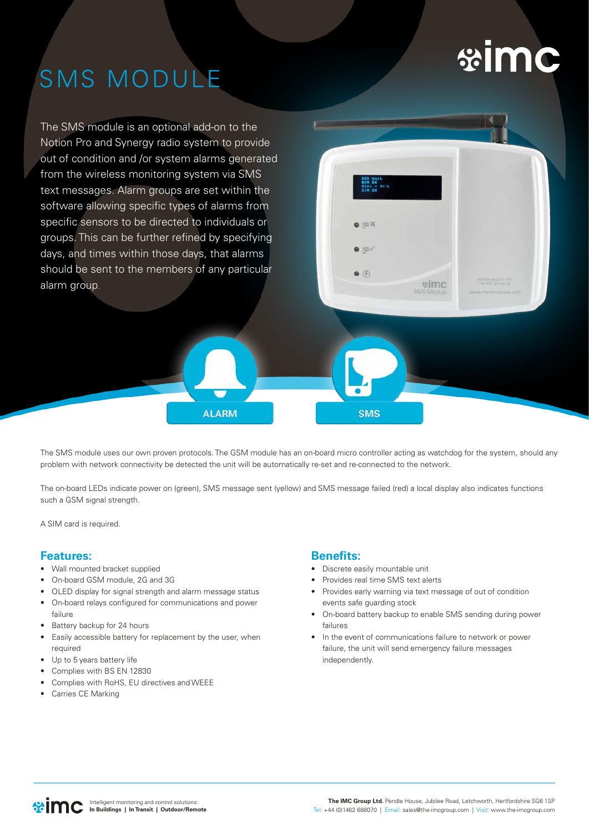# **※imc**

# SMS MODULE

The SMS module is an optional add-on to the Notion Pro and Synergy radio system to provide out of condition and /or system alarms generated from the wireless monitoring system via SMS text messages. Alarm groups are set within the software allowing specific types of alarms from specific sensors to be directed to individuals or groups. This can be further refined by specifying days, and times within those days, that alarms should be sent to the members of any particular alarm group.



The SMS module uses our own proven protocols. The GSM module has an on-board micro controller acting as watchdog for the system, should any problem with network connectivity be detected the unit will be automatically re-set and re-connected to the network.

**ALARM** 

The on-board LEDs indicate power on (green), SMS message sent (yellow) and SMS message failed (red) a local display also indicates functions such a GSM signal strength.

A SIM card is required.

### **Features:**

- Wall mounted bracket supplied
- On-board GSM module, 2G and 3G
- OLED display for signal strength and alarm message status
- On-board relays configured for communications and power failure
- Battery backup for 24 hours
- Easily accessible battery for replacement by the user, when required
- Up to 5 years battery life
- Complies with BS EN 12830
- Complies with RoHS, EU directives and WEEE
- Carries CE Marking

### **Benefits:**

• Discrete easily mountable unit

**SMS** 

- Provides real time SMS text alerts
- Provides early warning via text message of out of condition events safe guarding stock
- On-board battery backup to enable SMS sending during power failures
- In the event of communications failure to network or power failure, the unit will send emergency failure messages independently.